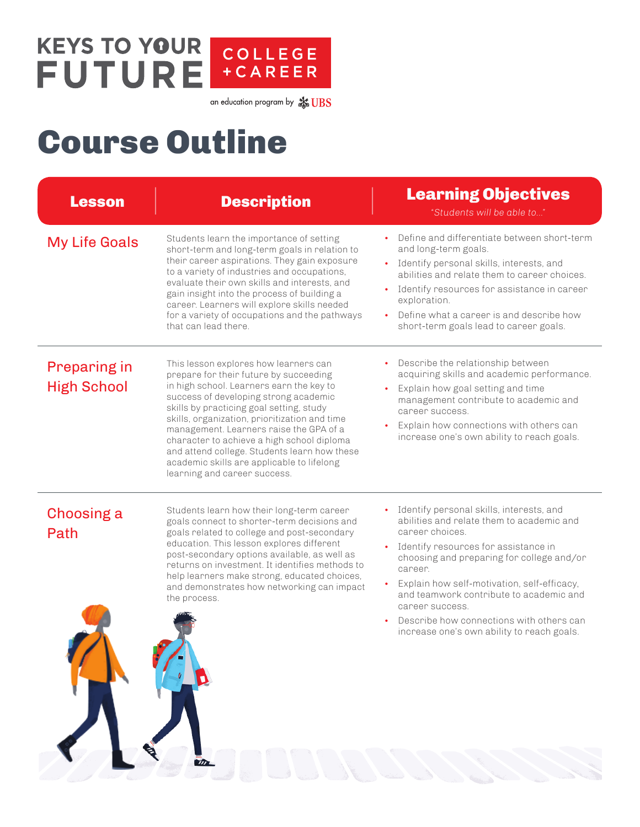## **KEYS TO YOUR** COLLEGE<br>+CAREER **FUTURE**

an education program by  $\frac{4}{\sqrt{36}}UBS$ 

## Course Outline

| <b>Lesson</b>                             | <b>Description</b>                                                                                                                                                                                                                                                                                                                                                                                                                                                                       | <b>Learning Objectives</b><br>"Students will be able to"                                                                                                                                                                                                                                                                                                                                                                                  |
|-------------------------------------------|------------------------------------------------------------------------------------------------------------------------------------------------------------------------------------------------------------------------------------------------------------------------------------------------------------------------------------------------------------------------------------------------------------------------------------------------------------------------------------------|-------------------------------------------------------------------------------------------------------------------------------------------------------------------------------------------------------------------------------------------------------------------------------------------------------------------------------------------------------------------------------------------------------------------------------------------|
| <b>My Life Goals</b>                      | Students learn the importance of setting<br>short-term and long-term goals in relation to<br>their career aspirations. They gain exposure<br>to a variety of industries and occupations,<br>evaluate their own skills and interests, and<br>gain insight into the process of building a<br>career. Learners will explore skills needed<br>for a variety of occupations and the pathways<br>that can lead there                                                                           | Define and differentiate between short-term<br>and long-term goals.<br>Identify personal skills, interests, and<br>$\bullet$<br>abilities and relate them to career choices.<br>Identify resources for assistance in career<br>exploration.<br>Define what a career is and describe how<br>short-term goals lead to career goals.                                                                                                         |
| <b>Preparing in</b><br><b>High School</b> | This lesson explores how learners can<br>prepare for their future by succeeding<br>in high school. Learners earn the key to<br>success of developing strong academic<br>skills by practicing goal setting, study<br>skills, organization, prioritization and time<br>management. Learners raise the GPA of a<br>character to achieve a high school diploma<br>and attend college. Students learn how these<br>academic skills are applicable to lifelong<br>learning and career success. | Describe the relationship between<br>acquiring skills and academic performance.<br>Explain how goal setting and time<br>management contribute to academic and<br>career success.<br>Explain how connections with others can<br>$\bullet$<br>increase one's own ability to reach goals.                                                                                                                                                    |
| <b>Choosing a</b><br>Path                 | Students learn how their long-term career<br>goals connect to shorter-term decisions and<br>goals related to college and post-secondary<br>education. This lesson explores different<br>post-secondary options available, as well as<br>returns on investment. It identifies methods to<br>help learners make strong, educated choices,<br>and demonstrates how networking can impact<br>the process.                                                                                    | Identify personal skills, interests, and<br>abilities and relate them to academic and<br>career choices.<br>Identify resources for assistance in<br>$\bullet$<br>choosing and preparing for college and/or<br>career.<br>Explain how self-motivation, self-efficacy,<br>and teamwork contribute to academic and<br>career success.<br>Describe how connections with others can<br>$\bullet$<br>increase one's own ability to reach goals. |